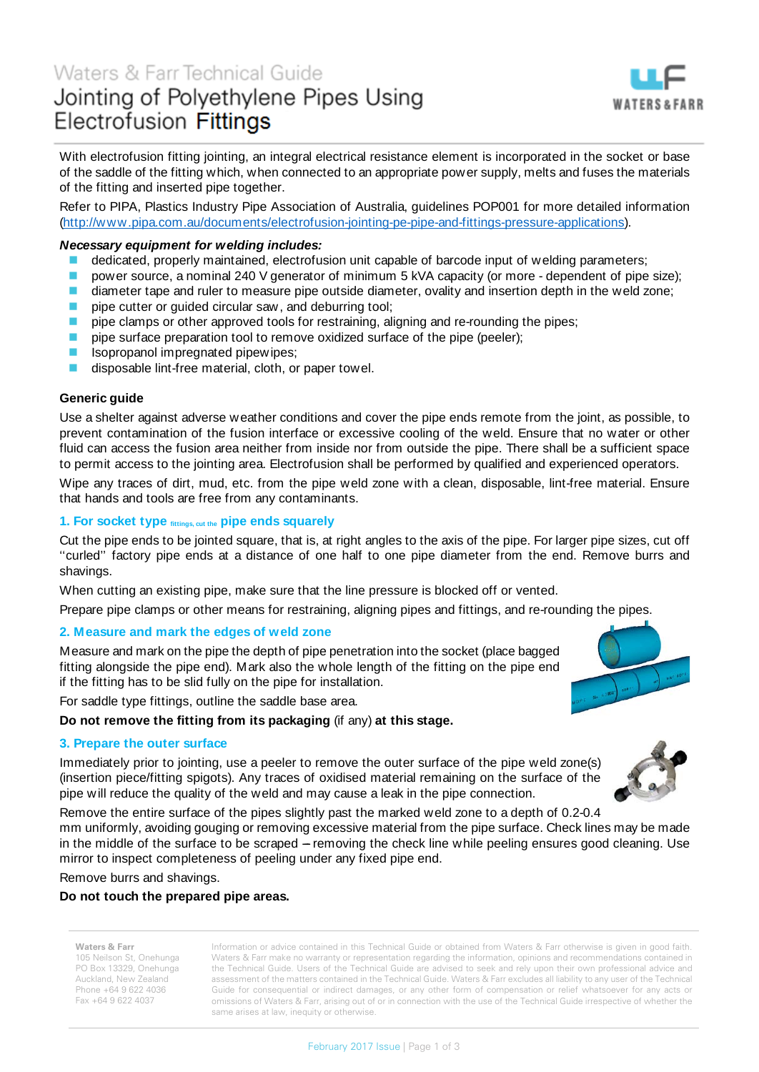

With electrofusion fitting jointing, an integral electrical resistance element is incorporated in the socket or base of the saddle of the fitting which, when connected to an appropriate power supply, melts and fuses the materials of the fitting and inserted pipe together.

Refer to PIPA, Plastics Industry Pipe Association of Australia, guidelines POP001 for more detailed information [\(http://www.pipa.com.au/documents/electrofusion-jointing-pe-pipe-and-fittings-pressure-applications\)](http://www.pipa.com.au/documents/electrofusion-jointing-pe-pipe-and-fittings-pressure-applications).

## *Necessary equipment for welding includes:*

- **dedicated, properly maintained, electrofusion unit capable of barcode input of welding parameters:**
- **P** power source, a nominal 240 V generator of minimum 5 kVA capacity (or more dependent of pipe size);
- **diameter tape and ruler to measure pipe outside diameter, ovality and insertion depth in the weld zone;**
- **pipe cutter or guided circular saw, and deburring tool;**
- pipe clamps or other approved tools for restraining, aligning and re-rounding the pipes;
- pipe surface preparation tool to remove oxidized surface of the pipe (peeler);
- **I** Isopropanol impregnated pipewipes;
- disposable lint-free material, cloth, or paper towel.

## **Generic guide**

Use a shelter against adverse weather conditions and cover the pipe ends remote from the joint, as possible, to prevent contamination of the fusion interface or excessive cooling of the weld. Ensure that no water or other fluid can access the fusion area neither from inside nor from outside the pipe. There shall be a sufficient space to permit access to the jointing area. Electrofusion shall be performed by qualified and experienced operators.

Wipe any traces of dirt, mud, etc. from the pipe weld zone with a clean, disposable, lint-free material. Ensure that hands and tools are free from any contaminants.

## **1. For socket type fittings, cut the pipe ends squarely**

Cut the pipe ends to be jointed square, that is, at right angles to the axis of the pipe. For larger pipe sizes, cut off ''curled'' factory pipe ends at a distance of one half to one pipe diameter from the end. Remove burrs and shavings.

When cutting an existing pipe, make sure that the line pressure is blocked off or vented.

Prepare pipe clamps or other means for restraining, aligning pipes and fittings, and re-rounding the pipes.

### **2. Measure and mark the edges of weld zone**

Measure and mark on the pipe the depth of pipe penetration into the socket (place bagged fitting alongside the pipe end). Mark also the whole length of the fitting on the pipe end if the fitting has to be slid fully on the pipe for installation.

For saddle type fittings, outline the saddle base area.

## **Do not remove the fitting from its packaging** (if any) **at this stage.**

### **3. Prepare the outer surface**

Immediately prior to jointing, use a peeler to remove the outer surface of the pipe weld zone(s) (insertion piece/fitting spigots). Any traces of oxidised material remaining on the surface of the pipe will reduce the quality of the weld and may cause a leak in the pipe connection.

Remove the entire surface of the pipes slightly past the marked weld zone to a depth of 0.2-0.4

mm uniformly, avoiding gouging or removing excessive material from the pipe surface. Check lines may be made in the middle of the surface to be scraped – removing the check line while peeling ensures good cleaning. Use mirror to inspect completeness of peeling under any fixed pipe end.

Remove burrs and shavings.

## **Do not touch the prepared pipe areas.**

# **Waters & Farr**

105 Neilson St, Onehunga PO Box 13329, Onehunga Auckland, New Zealand Phone +64 9 622 4036 Fax +64 9 622 4037

Information or advice contained in this Technical Guide or obtained from Waters & Farr otherwise is given in good faith. Waters & Farr make no warranty or representation regarding the information, opinions and recommendations contained in the Technical Guide. Users of the Technical Guide are advised to seek and rely upon their own professional advice and assessment of the matters contained in the Technical Guide. Waters & Farr excludes all liability to any user of the Technical Guide for consequential or indirect damages, or any other form of compensation or relief whatsoever for any acts or omissions of Waters & Farr, arising out of or in connection with the use of the Technical Guide irrespective of whether the same arises at law, inequity or otherwise.



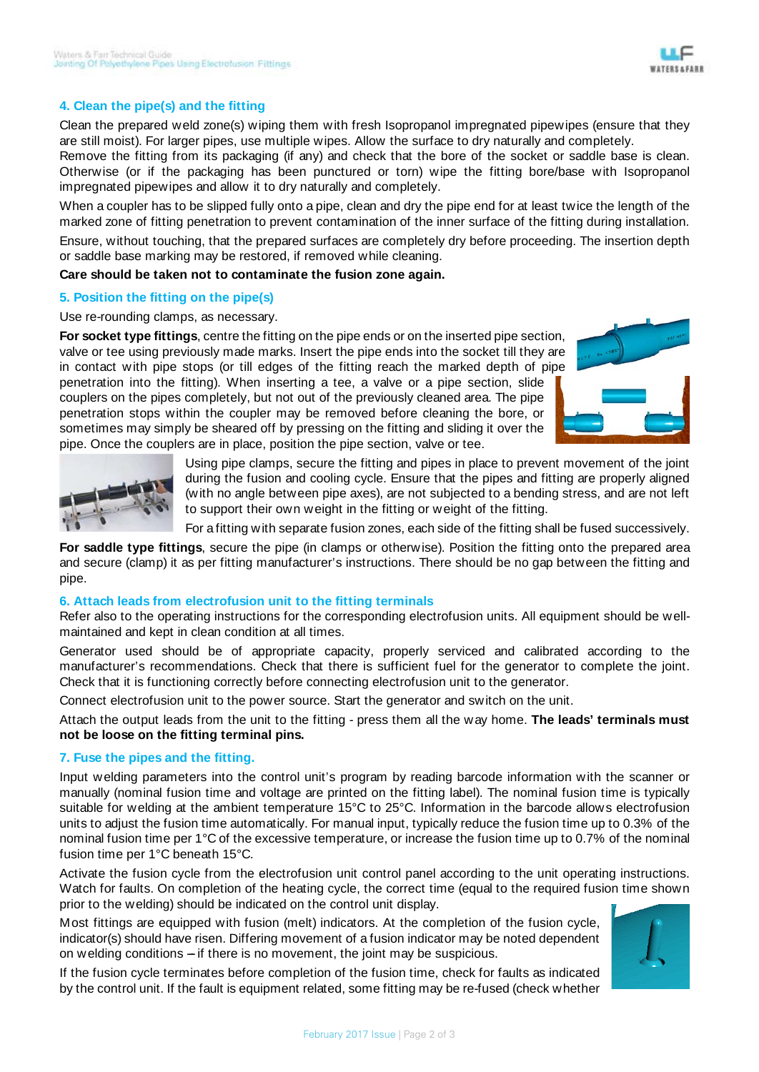# **4. Clean the pipe(s) and the fitting**

Clean the prepared weld zone(s) wiping them with fresh Isopropanol impregnated pipewipes (ensure that they are still moist). For larger pipes, use multiple wipes. Allow the surface to dry naturally and completely. Remove the fitting from its packaging (if any) and check that the bore of the socket or saddle base is clean. Otherwise (or if the packaging has been punctured or torn) wipe the fitting bore/base with Isopropanol

When a coupler has to be slipped fully onto a pipe, clean and dry the pipe end for at least twice the length of the marked zone of fitting penetration to prevent contamination of the inner surface of the fitting during installation.

Ensure, without touching, that the prepared surfaces are completely dry before proceeding. The insertion depth or saddle base marking may be restored, if removed while cleaning.

**Care should be taken not to contaminate the fusion zone again.**

impregnated pipewipes and allow it to dry naturally and completely.

# **5. Position the fitting on the pipe(s)**

Use re-rounding clamps, as necessary.

**For socket type fittings**, centre the fitting on the pipe ends or on the inserted pipe section, valve or tee using previously made marks. Insert the pipe ends into the socket till they are in contact with pipe stops (or till edges of the fitting reach the marked depth of pipe penetration into the fitting). When inserting a tee, a valve or a pipe section, slide couplers on the pipes completely, but not out of the previously cleaned area. The pipe penetration stops within the coupler may be removed before cleaning the bore, or sometimes may simply be sheared off by pressing on the fitting and sliding it over the pipe. Once the couplers are in place, position the pipe section, valve or tee.





Using pipe clamps, secure the fitting and pipes in place to prevent movement of the joint during the fusion and cooling cycle. Ensure that the pipes and fitting are properly aligned (with no angle between pipe axes), are not subjected to a bending stress, and are not left to support their own weight in the fitting or weight of the fitting.

For a fitting with separate fusion zones, each side of the fitting shall be fused successively.

**For saddle type fittings**, secure the pipe (in clamps or otherwise). Position the fitting onto the prepared area and secure (clamp) it as per fitting manufacturer's instructions. There should be no gap between the fitting and pipe.

### **6. Attach leads from electrofusion unit to the fitting terminals**

Refer also to the operating instructions for the corresponding electrofusion units. All equipment should be wellmaintained and kept in clean condition at all times.

Generator used should be of appropriate capacity, properly serviced and calibrated according to the manufacturer's recommendations. Check that there is sufficient fuel for the generator to complete the joint. Check that it is functioning correctly before connecting electrofusion unit to the generator.

Connect electrofusion unit to the power source. Start the generator and switch on the unit.

Attach the output leads from the unit to the fitting - press them all the way home. **The leads' terminals must not be loose on the fitting terminal pins.**

# **7. Fuse the pipes and the fitting.**

Input welding parameters into the control unit's program by reading barcode information with the scanner or manually (nominal fusion time and voltage are printed on the fitting label). The nominal fusion time is typically suitable for welding at the ambient temperature 15°C to 25°C. Information in the barcode allows electrofusion units to adjust the fusion time automatically. For manual input, typically reduce the fusion time up to 0.3% of the nominal fusion time per 1°C of the excessive temperature, or increase the fusion time up to 0.7% of the nominal fusion time per 1°C beneath 15°C.

Activate the fusion cycle from the electrofusion unit control panel according to the unit operating instructions. Watch for faults. On completion of the heating cycle, the correct time (equal to the required fusion time shown prior to the welding) should be indicated on the control unit display.

Most fittings are equipped with fusion (melt) indicators. At the completion of the fusion cycle, indicator(s) should have risen. Differing movement of a fusion indicator may be noted dependent on welding conditions  $-$  if there is no movement, the joint may be suspicious.

If the fusion cycle terminates before completion of the fusion time, check for faults as indicated by the control unit. If the fault is equipment related, some fitting may be re-fused (check whether